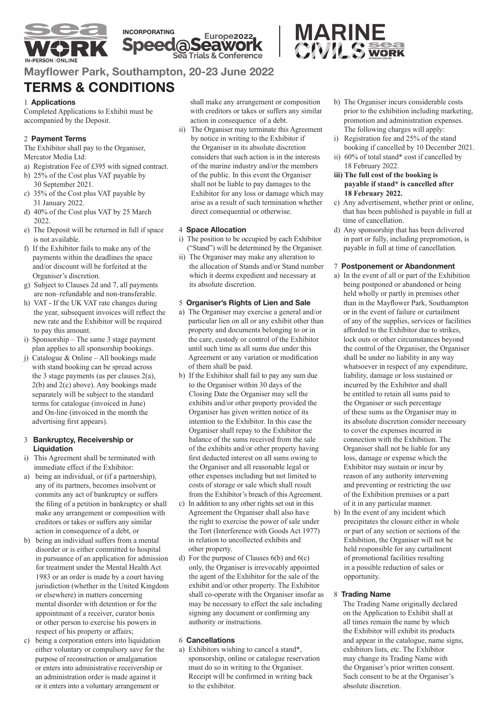





**Mayflower Park, Southampton, 20-23 June 2022** 

# **TERMS & CONDITIONS**

# 1 **Applications**

Completed Applications to Exhibit must be accompanied by the Deposit.

# 2 **Payment Terms**

The Exhibitor shall pay to the Organiser, Mercator Media Ltd:

- a) Registration Fee of £395 with signed contract.
- b) 25% of the Cost plus VAT payable by 30 September 2021.
- c) 35% of the Cost plus VAT payable by 31 January 2022.
- d) 40% of the Cost plus VAT by 25 March 2022.
- e) The Deposit will be returned in full if space is not available.
- f) If the Exhibitor fails to make any of the payments within the deadlines the space and/or discount will be forfeited at the Organiser's discretion.
- g) Subject to Clauses 2d and 7, all payments are non–refundable and non-transferable.
- h) VAT If the UK VAT rate changes during the year, subsequent invoices will reflect the new rate and the Exhibitor will be required to pay this amount.
- i) Sponsorship The same 3 stage payment plan applies to all sponsorship bookings.
- j) Catalogue & Online All bookings made with stand booking can be spread across the 3 stage payments (as per clauses 2(a), 2(b) and 2(c) above). Any bookings made separately will be subject to the standard terms for catalogue (invoiced in June) and On-line (invoiced in the month the advertising first appears).

#### 3 **Bankruptcy, Receivership or Liquidation**

- i) This Agreement shall be terminated with immediate effect if the Exhibitor:
- a) being an individual, or (if a partnership), any of its partners, becomes insolvent or commits any act of bankruptcy or suffers the filing of a petition in bankruptcy or shall make any arrangement or composition with creditors or takes or suffers any similar action in consequence of a debt, or
- b) being an individual suffers from a mental disorder or is either committed to hospital in pursuance of an application for admission for treatment under the Mental Health Act 1983 or an order is made by a court having jurisdiction (whether in the United Kingdom or elsewhere) in matters concerning mental disorder with detention or for the appointment of a receiver, curator bonis or other person to exercise his powers in respect of his property or affairs;
- c) being a corporation enters into liquidation either voluntary or compulsory save for the purpose of reconstruction or amalgamation or enters into administrative receivership or an administration order is made against it or it enters into a voluntary arrangement or

shall make any arrangement or composition with creditors or takes or suffers any similar action in consequence of a debt.

ii) The Organiser may terminate this Agreement by notice in writing to the Exhibitor if the Organiser in its absolute discretion considers that such action is in the interests of the marine industry and/or the members of the public. In this event the Organiser shall not be liable to pay damages to the Exhibitor for any loss or damage which may arise as a result of such termination whether direct consequential or otherwise.

# 4 **Space Allocation**

- i) The position to be occupied by each Exhibitor ("Stand") will be determined by the Organiser.
- ii) The Organiser may make any alteration to the allocation of Stands and/or Stand number which it deems expedient and necessary at its absolute discretion.

# 5 **Organiser's Rights of Lien and Sale**

- a) The Organiser may exercise a general and/or particular lien on all or any exhibit other than property and documents belonging to or in the care, custody or control of the Exhibitor until such time as all sums due under this Agreement or any variation or modification of them shall be paid.
- b) If the Exhibitor shall fail to pay any sum due to the Organiser within 30 days of the Closing Date the Organiser may sell the exhibits and/or other property provided the Organiser has given written notice of its intention to the Exhibitor. In this case the Organiser shall repay to the Exhibitor the balance of the sums received from the sale of the exhibits and/or other property having first deducted interest on all sums owing to the Organiser and all reasonable legal or other expenses including but not limited to costs of storage or sale which shall result from the Exhibitor's breach of this Agreement.
- c) In addition to any other rights set out in this Agreement the Organiser shall also have the right to exercise the power of sale under the Tort (Interference with Goods Act 1977) in relation to uncollected exhibits and other property.
- d) For the purpose of Clauses 6(b) and 6(c) only, the Organiser is irrevocably appointed the agent of the Exhibitor for the sale of the exhibit and/or other property. The Exhibitor shall co-operate with the Organiser insofar as may be necessary to effect the sale including signing any document or confirming any authority or instructions.

## 6 **Cancellations**

a) Exhibitors wishing to cancel a stand\*, sponsorship, online or catalogue reservation must do so in writing to the Organiser. Receipt will be confirmed in writing back to the exhibitor.

- b) The Organiser incurs considerable costs prior to the exhibition including marketing, promotion and administration expenses. The following charges will apply:
- i) Registration fee and 25% of the stand booking if cancelled by 10 December 2021.
- ii) 60% of total stand\* cost if cancelled by 18 February 2022.
- **iii) The full cost of the booking is payable if stand\* is cancelled after 18 February 2022.**
- c) Any advertisement, whether print or online, that has been published is payable in full at time of cancellation.
- d) Any sponsorship that has been delivered in part or fully, including prepromotion, is payable in full at time of cancellation.

## 7 **Postponement or Abandonment**

- a) In the event of all or part of the Exhibition being postponed or abandoned or being held wholly or partly in premises other than in the Mayflower Park, Southampton or in the event of failure or curtailment of any of the supplies, services or facilities afforded to the Exhibitor due to strikes, lock outs or other circumstances beyond the control of the Organiser, the Organiser shall be under no liability in any way whatsoever in respect of any expenditure, liability, damage or loss sustained or incurred by the Exhibitor and shall be entitled to retain all sums paid to the Organiser or such percentage of these sums as the Organiser may in its absolute discretion consider necessary to cover the expenses incurred in connection with the Exhibition. The Organiser shall not be liable for any loss, damage or expense which the Exhibitor may sustain or incur by reason of any authority intervening and preventing or restricting the use of the Exhibition premises or a part of it in any particular manner.
- b) In the event of any incident which precipitates the closure either in whole or part of any section or sections of the Exhibition, the Organiser will not be held responsible for any curtailment of promotional facilities resulting in a possible reduction of sales or opportunity.

## 8 **Trading Name**

 The Trading Name originally declared on the Application to Exhibit shall at all times remain the name by which the Exhibitor will exhibit its products and appear in the catalogue, name signs, exhibitors lists, etc. The Exhibitor may change its Trading Name with the Organiser's prior written consent. Such consent to be at the Organiser's absolute discretion.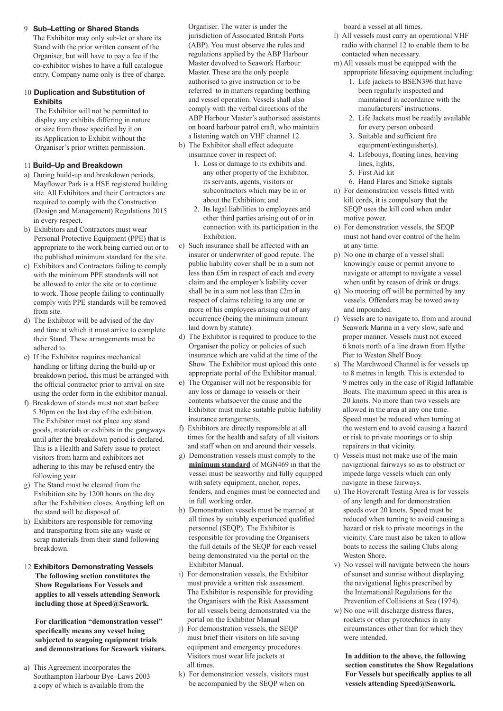9 **Sub–Letting or Shared Stands**

 The Exhibitor may only sub-let or share its Stand with the prior written consent of the Organiser, but will have to pay a fee if the co-exhibitor wishes to have a full catalogue entry. Company name only is free of charge.

## 10 **Duplication and Substitution of Exhibits**

 The Exhibitor will not be permitted to display any exhibits differing in nature or size from those specified by it on its Application to Exhibit without the Organiser's prior written permission.

# 11 **Build–Up and Breakdown**

- a) During build-up and breakdown periods, Mayflower Park is a HSE registered building site. All Exhibitors and their Contractors are required to comply with the Construction (Design and Management) Regulations 2015 in every respect.
- b) Exhibitors and Contractors must wear Personal Protective Equipment (PPE) that is appropriate to the work being carried out or to the published minimum standard for the site.
- c) Exhibitors and Contractors failing to comply with the minimum PPE standards will not be allowed to enter the site or to continue to work. Those people failing to continually comply with PPE standards will be removed from site.
- d) The Exhibitor will be advised of the day and time at which it must arrive to complete their Stand. These arrangements must be adhered to.
- e) If the Exhibitor requires mechanical handling or lifting during the build-up or breakdown period, this must be arranged with the official contractor prior to arrival on site using the order form in the exhibitor manual.
- f) Breakdown of stands must not start before 5.30pm on the last day of the exhibition. The Exhibitor must not place any stand goods, materials or exhibits in the gangways until after the breakdown period is declared. This is a Health and Safety issue to protect visitors from harm and exhibitors not adhering to this may be refused entry the following year.
- g) The Stand must be cleared from the Exhibition site by 1200 hours on the day after the Exhibition closes. Anything left on the stand will be disposed of.
- h) Exhibitors are responsible for removing and transporting from site any waste or scrap materials from their stand following breakdown.
- 12 **Exhibitors Demonstrating Vessels The following section constitutes the Show Regulations For Vessels and applies to all vessels attending Seawork including those at Speed@Seawork.**

 **For clarification "demonstration vessel" specifically means any vessel being subjected to seagoing equipment trials and demonstrations for Seawork visitors.**

a) This Agreement incorporates the Southampton Harbour Bye–Laws 2003 a copy of which is available from the

Organiser. The water is under the jurisdiction of Associated British Ports (ABP). You must observe the rules and regulations applied by the ABP Harbour Master devolved to Seawork Harbour Master. These are the only people authorised to give instruction or to be referred to in matters regarding berthing and vessel operation. Vessels shall also comply with the verbal directions of the ABP Harbour Master's authorised assistants on board harbour patrol craft, who maintain a listening watch on VHF channel 12.

- b) The Exhibitor shall effect adequate insurance cover in respect of:
	- 1. Loss or damage to its exhibits and any other property of the Exhibitor, its servants, agents, visitors or subcontractors which may be in or about the Exhibition; and
	- 2. Its legal liabilities to employees and other third parties arising out of or in connection with its participation in the Exhibition.
- c) Such insurance shall be affected with an insurer or underwriter of good repute. The public liability cover shall be in a sum not less than £5m in respect of each and every claim and the employer's liability cover shall be in a sum not less than £2m in respect of claims relating to any one or more of his employees arising out of any occurrence (being the minimum amount laid down by statute).
- d) The Exhibitor is required to produce to the Organiser the policy or policies of such insurance which are valid at the time of the Show. The Exhibitor must upload this onto appropriate portal of the Exhibitor manual.
- e) The Organiser will not be responsible for any loss or damage to vessels or their contents whatsoever the cause and the Exhibitor must make suitable public liability insurance arrangements.
- f) Exhibitors are directly responsible at all times for the health and safety of all visitors and staff when on and around their vessels.
- g) Demonstration vessels must comply to the **minimum standard** of MGN469 in that the vessel must be seaworthy and fully equipped with safety equipment, anchor, ropes, fenders, and engines must be connected and in full working order.
- h) Demonstration vessels must be manned at all times by suitably experienced qualified personnel (SEQP). The Exhibitor is responsible for providing the Organisers the full details of the SEQP for each vessel being demonstrated via the portal on the Exhibitor Manual.
- i) For demonstration vessels, the Exhibitor must provide a written risk assessment. The Exhibitor is responsible for providing the Organisers with the Risk Assessment for all vessels being demonstrated via the portal on the Exhibitor Manual
- j) For demonstration vessels, the SEQP must brief their visitors on life saving equipment and emergency procedures. Visitors must wear life jackets at all times.
- k) For demonstration vessels, visitors must be accompanied by the SEQP when on

board a vessel at all times.

- l) All vessels must carry an operational VHF radio with channel 12 to enable them to be contacted when necessary.
- m) All vessels must be equipped with the appropriate lifesaving equipment including:
	- 1. Life jackets to BSEN396 that have been regularly inspected and maintained in accordance with the manufacturers' instructions.
	- 2. Life Jackets must be readily available for every person onboard.
	- 3. Suitable and sufficient fire equipment/extinguisher(s).
	- 4. Lifebouys, floating lines, heaving lines, lights,
	- 5. First Aid kit
	- 6. Hand Flares and Smoke signals
- n) For demonstration vessels fitted with kill cords, it is compulsory that the SEQP uses the kill cord when under motive power.
- o) For demonstration vessels, the SEQP must not hand over control of the helm at any time.
- p) No one in charge of a vessel shall knowingly cause or permit anyone to navigate or attempt to navigate a vessel when unfit by reason of drink or drugs.
- q) No mooring off will be permitted by any vessels. Offenders may be towed away and impounded.
- r) Vessels are to navigate to, from and around Seawork Marina in a very slow, safe and proper manner. Vessels must not exceed 6 knots north of a line drawn from Hythe Pier to Weston Shelf Buoy.
- s) The Marchwood Channel is for vessels up to 8 metres in length. This is extended to 9 metres only in the case of Rigid Inflatable Boats. The maximum speed in this area is 20 knots. No more than two vessels are allowed in the area at any one time. Speed must be reduced when turning at the western end to avoid causing a hazard or risk to private moorings or to ship repairers in that vicinity.
- t) Vessels must not make use of the main navigational fairways so as to obstruct or impede large vessels which can only navigate in these fairways.
- u) The Hovercraft Testing Area is for vessels of any length and for demonstration speeds over 20 knots. Speed must be reduced when turning to avoid causing a hazard or risk to private moorings in the vicinity. Care must also be taken to allow boats to access the sailing Clubs along Weston Shore.
- v) No vessel will navigate between the hours of sunset and sunrise without displaying the navigational lights prescribed by the International Regulations for the Prevention of Collisions at Sea (1974).
- w) No one will discharge distress flares, rockets or other pyrotechnics in any circumstances other than for which they were intended.

 **In addition to the above, the following section constitutes the Show Regulations For Vessels but specifically applies to all vessels attending Speed@Seawork.**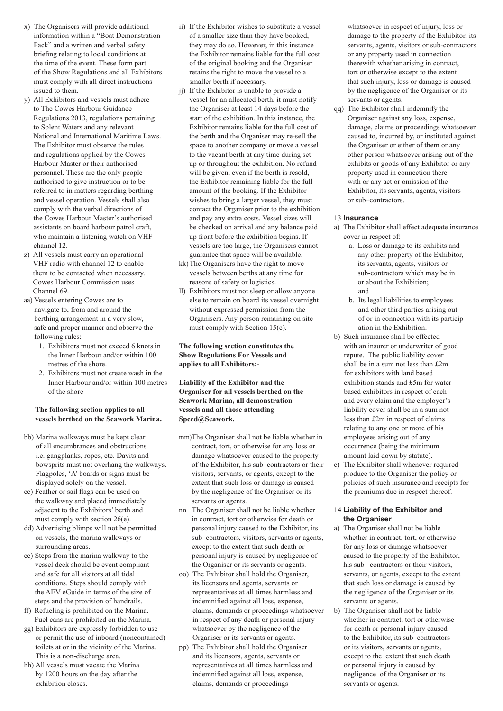- x) The Organisers will provide additional information within a "Boat Demonstration Pack" and a written and verbal safety briefing relating to local conditions at the time of the event. These form part of the Show Regulations and all Exhibitors must comply with all direct instructions issued to them.
- y) All Exhibitors and vessels must adhere to The Cowes Harbour Guidance Regulations 2013, regulations pertaining to Solent Waters and any relevant National and International Maritime Laws. The Exhibitor must observe the rules and regulations applied by the Cowes Harbour Master or their authorised personnel. These are the only people authorised to give instruction or to be referred to in matters regarding berthing and vessel operation. Vessels shall also comply with the verbal directions of the Cowes Harbour Master's authorised assistants on board harbour patrol craft, who maintain a listening watch on VHF channel 12.
- z) All vessels must carry an operational VHF radio with channel 12 to enable them to be contacted when necessary. Cowes Harbour Commission uses Channel 69.
- aa) Vessels entering Cowes are to navigate to, from and around the berthing arrangement in a very slow, safe and proper manner and observe the following rules:-
	- 1. Exhibitors must not exceed 6 knots in the Inner Harbour and/or within 100 metres of the shore.
	- 2. Exhibitors must not create wash in the Inner Harbour and/or within 100 metres of the shore

#### **The following section applies to all vessels berthed on the Seawork Marina.**

- bb) Marina walkways must be kept clear of all encumbrances and obstructions i.e. gangplanks, ropes, etc. Davits and bowsprits must not overhang the walkways. Flagpoles, 'A' boards or signs must be displayed solely on the vessel.
- cc) Feather or sail flags can be used on the walkway and placed immediately adjacent to the Exhibitors' berth and must comply with section 26(e).
- dd) Advertising blimps will not be permitted on vessels, the marina walkways or surrounding areas.
- ee) Steps from the marina walkway to the vessel deck should be event compliant and safe for all visitors at all tidal conditions. Steps should comply with the AEV eGuide in terms of the size of steps and the provision of handrails.
- ff) Refueling is prohibited on the Marina. Fuel cans are prohibited on the Marina.
- gg) Exhibitors are expressly forbidden to use or permit the use of inboard (noncontained) toilets at or in the vicinity of the Marina. This is a non-discharge area.
- hh) All vessels must vacate the Marina by 1200 hours on the day after the exhibition closes.
- ii) If the Exhibitor wishes to substitute a vessel of a smaller size than they have booked, they may do so. However, in this instance the Exhibitor remains liable for the full cost of the original booking and the Organiser retains the right to move the vessel to a smaller berth if necessary.
- jj) If the Exhibitor is unable to provide a vessel for an allocated berth, it must notify the Organiser at least 14 days before the start of the exhibition. In this instance, the Exhibitor remains liable for the full cost of the berth and the Organiser may re-sell the space to another company or move a vessel to the vacant berth at any time during set up or throughout the exhibition. No refund will be given, even if the berth is resold, the Exhibitor remaining liable for the full amount of the booking. If the Exhibitor wishes to bring a larger vessel, they must contact the Organiser prior to the exhibition and pay any extra costs. Vessel sizes will be checked on arrival and any balance paid up front before the exhibition begins. If vessels are too large, the Organisers cannot guarantee that space will be available.
- kk) The Organisers have the right to move vessels between berths at any time for reasons of safety or logistics.
- ll) Exhibitors must not sleep or allow anyone else to remain on board its vessel overnight without expressed permission from the Organisers. Any person remaining on site must comply with Section 15(c).

**The following section constitutes the Show Regulations For Vessels and applies to all Exhibitors:-**

#### **Liability of the Exhibitor and the Organiser for all vessels berthed on the Seawork Marina, all demonstration vessels and all those attending Speed@Seawork.**

- mm)The Organiser shall not be liable whether in contract, tort, or otherwise for any loss or damage whatsoever caused to the property of the Exhibitor, his sub–contractors or their visitors, servants, or agents, except to the extent that such loss or damage is caused by the negligence of the Organiser or its servants or agents.
- nn The Organiser shall not be liable whether in contract, tort or otherwise for death or personal injury caused to the Exhibitor, its sub–contractors, visitors, servants or agents, except to the extent that such death or personal injury is caused by negligence of the Organiser or its servants or agents.
- oo) The Exhibitor shall hold the Organiser, its licensors and agents, servants or representatives at all times harmless and indemnified against all loss, expense, claims, demands or proceedings whatsoever in respect of any death or personal injury whatsoever by the negligence of the Organiser or its servants or agents.
- pp) The Exhibitor shall hold the Organiser and its licensors, agents, servants or representatives at all times harmless and indemnified against all loss, expense, claims, demands or proceedings

whatsoever in respect of injury, loss or damage to the property of the Exhibitor, its servants, agents, visitors or sub-contractors or any property used in connection therewith whether arising in contract, tort or otherwise except to the extent that such injury, loss or damage is caused by the negligence of the Organiser or its servants or agents.

qq) The Exhibitor shall indemnify the Organiser against any loss, expense, damage, claims or proceedings whatsoever caused to, incurred by, or instituted against the Organiser or either of them or any other person whatsoever arising out of the exhibits or goods of any Exhibitor or any property used in connection there with or any act or omission of the Exhibitor, its servants, agents, visitors or sub–contractors.

#### 13 **Insurance**

- a) The Exhibitor shall effect adequate insurance cover in respect of:
	- a. Loss or damage to its exhibits and any other property of the Exhibitor, its servants, agents, visitors or sub-contractors which may be in or about the Exhibition; and
	- b. Its legal liabilities to employees and other third parties arising out of or in connection with its particip ation in the Exhibition.
- b) Such insurance shall be effected with an insurer or underwriter of good repute. The public liability cover shall be in a sum not less than £2m for exhibitors with land based exhibition stands and £5m for water based exhibitors in respect of each and every claim and the employer's liability cover shall be in a sum not less than £2m in respect of claims relating to any one or more of his employees arising out of any occurrence (being the minimum amount laid down by statute).
- c) The Exhibitor shall whenever required produce to the Organiser the policy or policies of such insurance and receipts for the premiums due in respect thereof.

#### 14 **Liability of the Exhibitor and the Organiser**

- a) The Organiser shall not be liable whether in contract, tort, or otherwise for any loss or damage whatsoever caused to the property of the Exhibitor, his sub– contractors or their visitors, servants, or agents, except to the extent that such loss or damage is caused by the negligence of the Organiser or its servants or agents.
- b) The Organiser shall not be liable whether in contract, tort or otherwise for death or personal injury caused to the Exhibitor, its sub–contractors or its visitors, servants or agents, except to the extent that such death or personal injury is caused by negligence of the Organiser or its servants or agents.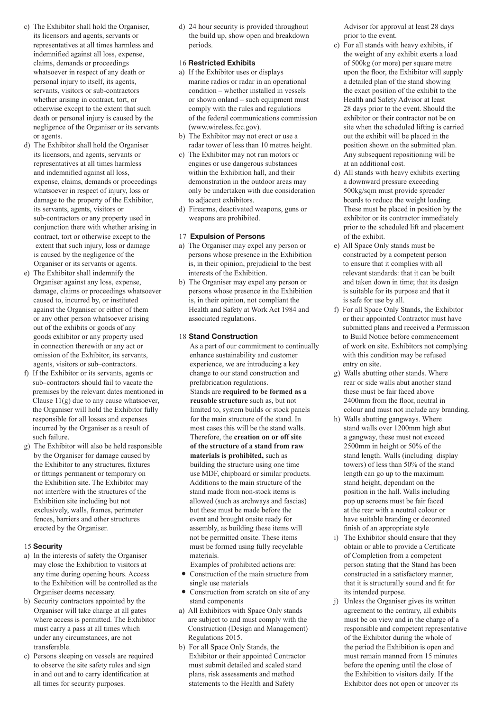- c) The Exhibitor shall hold the Organiser, its licensors and agents, servants or representatives at all times harmless and indemnified against all loss, expense, claims, demands or proceedings whatsoever in respect of any death or personal injury to itself, its agents, servants, visitors or sub-contractors whether arising in contract, tort, or otherwise except to the extent that such death or personal injury is caused by the negligence of the Organiser or its servants or agents.
- d) The Exhibitor shall hold the Organiser its licensors, and agents, servants or representatives at all times harmless and indemnified against all loss, expense, claims, demands or proceedings whatsoever in respect of injury, loss or damage to the property of the Exhibitor, its servants, agents, visitors or sub-contractors or any property used in conjunction there with whether arising in contract, tort or otherwise except to the extent that such injury, loss or damage is caused by the negligence of the Organiser or its servants or agents.
- e) The Exhibitor shall indemnify the Organiser against any loss, expense, damage, claims or proceedings whatsoever caused to, incurred by, or instituted against the Organiser or either of them or any other person whatsoever arising out of the exhibits or goods of any goods exhibitor or any property used in connection therewith or any act or omission of the Exhibitor, its servants, agents, visitors or sub–contractors.
- f) If the Exhibitor or its servants, agents or sub–contractors should fail to vacate the premises by the relevant dates mentioned in Clause 11(g) due to any cause whatsoever, the Organiser will hold the Exhibitor fully responsible for all losses and expenses incurred by the Organiser as a result of such failure.
- g) The Exhibitor will also be held responsible by the Organiser for damage caused by the Exhibitor to any structures, fixtures or fittings permanent or temporary on the Exhibition site. The Exhibitor may not interfere with the structures of the Exhibition site including but not exclusively, walls, frames, perimeter fences, barriers and other structures erected by the Organiser.

#### 15 **Security**

- a) In the interests of safety the Organiser may close the Exhibition to visitors at any time during opening hours. Access to the Exhibition will be controlled as the Organiser deems necessary.
- b) Security contractors appointed by the Organiser will take charge at all gates where access is permitted. The Exhibitor must carry a pass at all times which under any circumstances, are not transferable.
- c) Persons sleeping on vessels are required to observe the site safety rules and sign in and out and to carry identification at all times for security purposes.

d) 24 hour security is provided throughout the build up, show open and breakdown periods.

#### 16 **Restricted Exhibits**

- a) If the Exhibitor uses or displays marine radios or radar in an operational condition – whether installed in vessels or shown onland – such equipment must comply with the rules and regulations of the federal communications commission (www.wireless.fcc.gov).
- b) The Exhibitor may not erect or use a radar tower of less than 10 metres height.
- c) The Exhibitor may not run motors or engines or use dangerous substances within the Exhibition hall, and their demonstration in the outdoor areas may only be undertaken with due consideration to adjacent exhibitors.
- d) Firearms, deactivated weapons, guns or weapons are prohibited.

## 17 **Expulsion of Persons**

- a) The Organiser may expel any person or persons whose presence in the Exhibition is, in their opinion, prejudicial to the best interests of the Exhibition.
- b) The Organiser may expel any person or persons whose presence in the Exhibition is, in their opinion, not compliant the Health and Safety at Work Act 1984 and associated regulations.

## 18 **Stand Construction**

 As a part of our commitment to continually enhance sustainability and customer experience, we are introducing a key change to our stand construction and prefabrication regulations. Stands are **required to be formed as a reusable structure** such as, but not limited to, system builds or stock panels for the main structure of the stand. In most cases this will be the stand walls. Therefore, the **creation on or off site of the structure of a stand from raw materials is prohibited,** such as building the structure using one time use MDF, chipboard or similar products. Additions to the main structure of the stand made from non-stock items is allowed (such as archways and fascias) but these must be made before the event and brought onsite ready for assembly, as building these items will not be permitted onsite. These items must be formed using fully recyclable materials.

 Examples of prohibited actions are: 5 Construction of the main structure from

- single use materials • Construction from scratch on site of any
- stand components a) All Exhibitors with Space Only stands are subject to and must comply with the Construction (Design and Management) Regulations 2015.
- b) For all Space Only Stands, the Exhibitor or their appointed Contractor must submit detailed and scaled stand plans, risk assessments and method statements to the Health and Safety

Advisor for approval at least 28 days prior to the event.

- c) For all stands with heavy exhibits, if the weight of any exhibit exerts a load of 500kg (or more) per square metre upon the floor, the Exhibitor will supply a detailed plan of the stand showing the exact position of the exhibit to the Health and Safety Advisor at least 28 days prior to the event. Should the exhibitor or their contractor not be on site when the scheduled lifting is carried out the exhibit will be placed in the position shown on the submitted plan. Any subsequent repositioning will be at an additional cost.
- d) All stands with heavy exhibits exerting a downward pressure exceeding 500kg/sqm must provide spreader boards to reduce the weight loading. These must be placed in position by the exhibitor or its contractor immediately prior to the scheduled lift and placement of the exhibit.
- e) All Space Only stands must be constructed by a competent person to ensure that it complies with all relevant standards: that it can be built and taken down in time; that its design is suitable for its purpose and that it is safe for use by all.
- f) For all Space Only Stands, the Exhibitor or their appointed Contractor must have submitted plans and received a Permission to Build Notice before commencement of work on site. Exhibitors not complying with this condition may be refused entry on site.
- g) Walls abutting other stands. Where rear or side walls abut another stand these must be fair faced above 2400mm from the floor, neutral in colour and must not include any branding.
- h) Walls abutting gangways. Where stand walls over 1200mm high abut a gangway, these must not exceed 2500mm in height or 50% of the stand length. Walls (including display towers) of less than 50% of the stand length can go up to the maximum stand height, dependant on the position in the hall. Walls including pop up screens must be fair faced at the rear with a neutral colour or have suitable branding or decorated finish of an appropriate style
- i) The Exhibitor should ensure that they obtain or able to provide a Certificate of Completion from a competent person stating that the Stand has been constructed in a satisfactory manner, that it is structurally sound and fit for its intended purpose.
- j) Unless the Organiser gives its written agreement to the contrary, all exhibits must be on view and in the charge of a responsible and competent representative of the Exhibitor during the whole of the period the Exhibition is open and must remain manned from 15 minutes before the opening until the close of the Exhibition to visitors daily. If the Exhibitor does not open or uncover its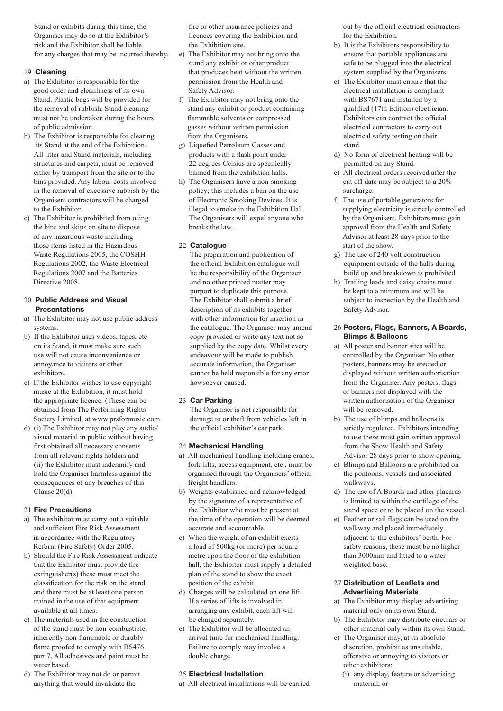Stand or exhibits during this time, the Organiser may do so at the Exhibitor's risk and the Exhibitor shall be liable for any charges that may be incurred thereby.

## 19 **Cleaning**

- a) The Exhibitor is responsible for the good order and cleanliness of its own Stand. Plastic bags will be provided for the removal of rubbish. Stand cleaning must not be undertaken during the hours of public admission.
- b) The Exhibitor is responsible for clearing its Stand at the end of the Exhibition. All litter and Stand materials, including structures and carpets, must be removed either by transport from the site or to the bins provided. Any labour costs involved in the removal of excessive rubbish by the Organisers contractors will be charged to the Exhibitor.
- c) The Exhibitor is prohibited from using the bins and skips on site to dispose of any hazardous waste including those items listed in the Hazardous Waste Regulations 2005, the COSHH Regulations 2002, the Waste Electrical Regulations 2007 and the Batteries Directive 2008.

#### 20 **Public Address and Visual Presentations**

- a) The Exhibitor may not use public address systems.
- b) If the Exhibitor uses videos, tapes, etc on its Stand, it must make sure such use will not cause inconvenience or annoyance to visitors or other exhibitors.
- c) If the Exhibitor wishes to use copyright music at the Exhibition, it must hold the appropriate licence. (These can be obtained from The Performing Rights Society Limited, at www.prsformusic.com.
- d) (i) The Exhibitor may not play any audio/ visual material in public without having first obtained all necessary consents from all relevant rights holders and (ii) the Exhibitor must indemnify and hold the Organiser harmless against the consequences of any breaches of this Clause 20(d).

## 21 **Fire Precautions**

- a) The exhibitor must carry out a suitable and sufficient Fire Risk Assessment in accordance with the Regulatory Reform (Fire Safety) Order 2005.
- b) Should the Fire Risk Assessment indicate that the Exhibitor must provide fire extinguisher(s) these must meet the classification for the risk on the stand and there must be at least one person trained in the use of that equipment available at all times.
- c) The materials used in the construction of the stand must be non-combustible, inherently non-flammable or durably flame proofed to comply with BS476 part 7. All adhesives and paint must be water based.
- d) The Exhibitor may not do or permit anything that would invalidate the

fire or other insurance policies and licences covering the Exhibition and the Exhibition site.

- e) The Exhibitor may not bring onto the stand any exhibit or other product that produces heat without the written permission from the Health and Safety Advisor.
- f) The Exhibitor may not bring onto the stand any exhibit or product containing flammable solvents or compressed gasses without written permission from the Organisers.
- g) Liquefied Petroleum Gasses and products with a flash point under 22 degrees Celsius are specifically banned from the exhibition halls.
- h) The Organisers have a non-smoking policy; this includes a ban on the use of Electronic Smoking Devices. It is illegal to smoke in the Exhibition Hall. The Organisers will expel anyone who breaks the law.

# 22 **Catalogue**

 The preparation and publication of the official Exhibition catalogue will be the responsibility of the Organiser and no other printed matter may purport to duplicate this purpose. The Exhibitor shall submit a brief description of its exhibits together with other information for insertion in the catalogue. The Organiser may amend copy provided or write any text not so supplied by the copy date. Whilst every endeavour will be made to publish accurate information, the Organiser cannot be held responsible for any error howsoever caused.

# 23 **Car Parking**

 The Organiser is not responsible for damage to or theft from vehicles left in the official exhibitor's car park.

# 24 **Mechanical Handling**

- a) All mechanical handling including cranes, fork-lifts, access equipment, etc., must be organised through the Organisers' official freight handlers.
- b) Weights established and acknowledged by the signature of a representative of the Exhibitor who must be present at the time of the operation will be deemed accurate and accountable.
- c) When the weight of an exhibit exerts a load of 500kg (or more) per square metre upon the floor of the exhibition hall, the Exhibitor must supply a detailed plan of the stand to show the exact position of the exhibit.
- d) Charges will be calculated on one lift. If a series of lifts is involved in arranging any exhibit, each lift will be charged separately.
- e) The Exhibitor will be allocated an arrival time for mechanical handling. Failure to comply may involve a double charge.

## 25 **Electrical Installation**

a) All electrical installations will be carried

out by the official electrical contractors for the Exhibition.

- b) It is the Exhibitors responsibility to ensure that portable appliances are safe to be plugged into the electrical system supplied by the Organisers.
- c) The Exhibitor must ensure that the electrical installation is compliant with BS7671 and installed by a qualified (17th Edition) electrician. Exhibitors can contract the official electrical contractors to carry out electrical safety testing on their stand.
- d) No form of electrical heating will be permitted on any Stand.
- e) All electrical orders received after the cut off date may be subject to a 20% surcharge.
- f) The use of portable generators for supplying electricity is strictly controlled by the Organisers. Exhibitors must gain approval from the Health and Safety Advisor at least 28 days prior to the start of the show.
- g) The use of 240 volt construction equipment outside of the halls during build up and breakdown is prohibited
- h) Trailing leads and daisy chains must be kept to a minimum and will be subject to inspection by the Health and Safety Advisor.

## 26 **Posters, Flags, Banners, A Boards, Blimps & Balloons**

- a) All poster and banner sites will be controlled by the Organiser. No other posters, banners may be erected or displayed without written authorisation from the Organiser. Any posters, flags or banners not displayed with the written authorisation of the Organiser will be removed.
- b) The use of blimps and balloons is strictly regulated. Exhibitors intending to use these must gain written approval from the Show Health and Safety Advisor 28 days prior to show opening.
- c) Blimps and Balloons are prohibited on the pontoons, vessels and associated walkways.
- d) The use of A Boards and other placards is limited to within the curtilage of the stand space or to be placed on the vessel.
- e) Feather or sail flags can be used on the walkway and placed immediately adjacent to the exhibitors' berth. For safety reasons, these must be no higher than 3000mm and fitted to a water weighted base.

## 27 **Distribution of Leaflets and Advertising Materials**

- a) The Exhibitor may display advertising material only on its own Stand.
- b) The Exhibitor may distribute circulars or other material only within its own Stand.
- c) The Organiser may, at its absolute discretion, prohibit as unsuitable, offensive or annoying to visitors or other exhibitors:
	- (i) any display, feature or advertising material, or